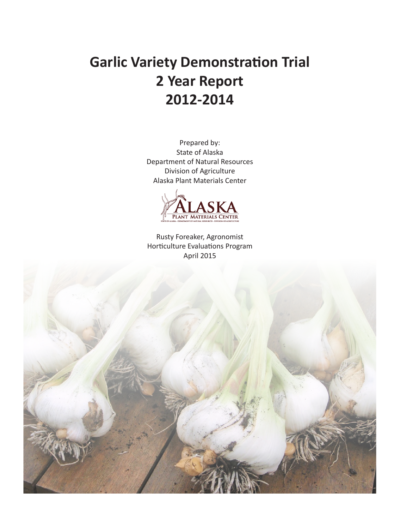# **Garlic Variety Demonstration Trial 2 Year Report 2012-2014**

Prepared by: State of Alaska Department of Natural Resources Division of Agriculture Alaska Plant Materials Center



Rusty Foreaker, Agronomist Horticulture Evaluations Program April 2015

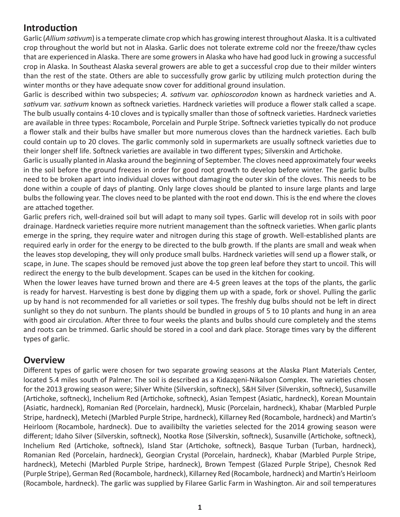## **Introduction**

Garlic (*Allium sativum*) is a temperate climate crop which has growing interest throughout Alaska. It is a cultivated crop throughout the world but not in Alaska. Garlic does not tolerate extreme cold nor the freeze/thaw cycles that are experienced in Alaska. There are some growers in Alaska who have had good luck in growing a successful crop in Alaska. In Southeast Alaska several growers are able to get a successful crop due to their milder winters than the rest of the state. Others are able to successfully grow garlic by utilizing mulch protection during the winter months or they have adequate snow cover for additional ground insulation.

Garlic is described within two subspecies; *A. sativum* var. *ophioscorodon* known as hardneck varieties and A. *sativum* var. *sativum* known as softneck varieties. Hardneck varieties will produce a flower stalk called a scape. The bulb usually contains 4-10 cloves and is typically smaller than those of softneck varieties. Hardneck varieties are available in three types: Rocambole, Porcelain and Purple Stripe. Softneck varieties typically do not produce a flower stalk and their bulbs have smaller but more numerous cloves than the hardneck varieties. Each bulb could contain up to 20 cloves. The garlic commonly sold in supermarkets are usually softneck varieties due to their longer shelf life. Softneck varieties are available in two different types; Silverskin and Artichoke.

Garlic is usually planted in Alaska around the beginning of September. The cloves need approximately four weeks in the soil before the ground freezes in order for good root growth to develop before winter. The garlic bulbs need to be broken apart into individual cloves without damaging the outer skin of the cloves. This needs to be done within a couple of days of planting. Only large cloves should be planted to insure large plants and large bulbs the following year. The cloves need to be planted with the root end down. This is the end where the cloves are attached together.

Garlic prefers rich, well-drained soil but will adapt to many soil types. Garlic will develop rot in soils with poor drainage. Hardneck varieties require more nutrient management than the softneck varieties. When garlic plants emerge in the spring, they require water and nitrogen during this stage of growth. Well-established plants are required early in order for the energy to be directed to the bulb growth. If the plants are small and weak when the leaves stop developing, they will only produce small bulbs. Hardneck varieties will send up a flower stalk, or scape, in June. The scapes should be removed just above the top green leaf before they start to uncoil. This will redirect the energy to the bulb development. Scapes can be used in the kitchen for cooking.

When the lower leaves have turned brown and there are 4-5 green leaves at the tops of the plants, the garlic is ready for harvest. Harvesting is best done by digging them up with a spade, fork or shovel. Pulling the garlic up by hand is not recommended for all varieties or soil types. The freshly dug bulbs should not be left in direct sunlight so they do not sunburn. The plants should be bundled in groups of 5 to 10 plants and hung in an area with good air circulation. After three to four weeks the plants and bulbs should cure completely and the stems and roots can be trimmed. Garlic should be stored in a cool and dark place. Storage times vary by the different types of garlic.

#### **Overview**

Different types of garlic were chosen for two separate growing seasons at the Alaska Plant Materials Center, located 5.4 miles south of Palmer. The soil is described as a Kidazqeni-Nikalson Complex. The varieties chosen for the 2013 growing season were; Silver White (Silverskin, softneck), S&H Silver (Silverskin, softneck), Susanville (Artichoke, softneck), Inchelium Red (Artichoke, softneck), Asian Tempest (Asiatic, hardneck), Korean Mountain (Asiatic, hardneck), Romanian Red (Porcelain, hardneck), Music (Porcelain, hardneck), Khabar (Marbled Purple Stripe, hardneck), Metechi (Marbled Purple Stripe, hardneck), Killarney Red (Rocambole, hardneck) and Martin's Heirloom (Rocambole, hardneck). Due to availibilty the varieties selected for the 2014 growing season were different; Idaho Silver (Silverskin, softneck), Nootka Rose (Silverskin, softneck), Susanville (Artichoke, softneck), Inchelium Red (Artichoke, softneck), Island Star (Artichoke, softneck), Basque Turban (Turban, hardneck), Romanian Red (Porcelain, hardneck), Georgian Crystal (Porcelain, hardneck), Khabar (Marbled Purple Stripe, hardneck), Metechi (Marbled Purple Stripe, hardneck), Brown Tempest (Glazed Purple Stripe), Chesnok Red (Purple Stripe), German Red (Rocambole, hardneck), Killarney Red (Rocambole, hardneck) and Martin's Heirloom (Rocambole, hardneck). The garlic was supplied by Filaree Garlic Farm in Washington. Air and soil temperatures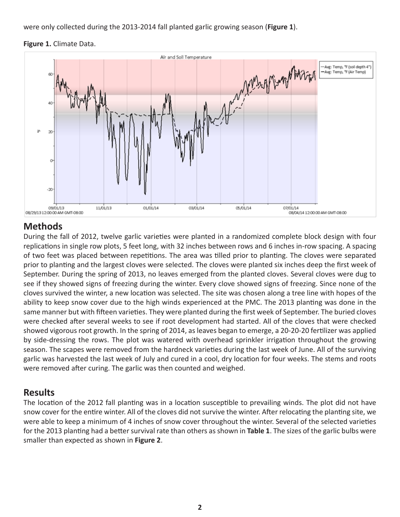were only collected during the 2013-2014 fall planted garlic growing season (**Figure 1**).





### **Methods**

During the fall of 2012, twelve garlic varieties were planted in a randomized complete block design with four replications in single row plots, 5 feet long, with 32 inches between rows and 6 inches in-row spacing. A spacing of two feet was placed between repetitions. The area was tilled prior to planting. The cloves were separated prior to planting and the largest cloves were selected. The cloves were planted six inches deep the first week of September. During the spring of 2013, no leaves emerged from the planted cloves. Several cloves were dug to see if they showed signs of freezing during the winter. Every clove showed signs of freezing. Since none of the cloves survived the winter, a new location was selected. The site was chosen along a tree line with hopes of the ability to keep snow cover due to the high winds experienced at the PMC. The 2013 planting was done in the same manner but with fifteen varieties. They were planted during the first week of September. The buried cloves were checked after several weeks to see if root development had started. All of the cloves that were checked showed vigorous root growth. In the spring of 2014, as leaves began to emerge, a 20-20-20 fertilizer was applied by side-dressing the rows. The plot was watered with overhead sprinkler irrigation throughout the growing season. The scapes were removed from the hardneck varieties during the last week of June. All of the surviving garlic was harvested the last week of July and cured in a cool, dry location for four weeks. The stems and roots were removed after curing. The garlic was then counted and weighed.

#### **Results**

The location of the 2012 fall planting was in a location susceptible to prevailing winds. The plot did not have snow cover for the entire winter. All of the cloves did not survive the winter. After relocating the planting site, we were able to keep a minimum of 4 inches of snow cover throughout the winter. Several of the selected varieties for the 2013 planting had a better survival rate than others as shown in **Table 1**. The sizes of the garlic bulbs were smaller than expected as shown in **Figure 2**.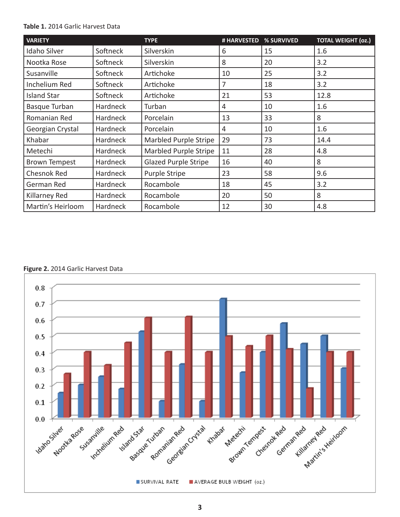#### **Table 1.** 2014 Garlic Harvest Data

| <b>VARIETY</b>       |                 | <b>TYPE</b>                 | # HARVESTED    | % SURVIVED | <b>TOTAL WEIGHT (02.)</b> |
|----------------------|-----------------|-----------------------------|----------------|------------|---------------------------|
| <b>Idaho Silver</b>  | Softneck        | Silverskin                  | 6              | 15         | 1.6                       |
| Nootka Rose          | Softneck        | Silverskin                  | 8              | 20         | 3.2                       |
| Susanville           | Softneck        | Artichoke                   | 10             | 25         | 3.2                       |
| Inchelium Red        | Softneck        | Artichoke                   | 7              | 18         | 3.2                       |
| <b>Island Star</b>   | Softneck        | Artichoke                   | 21             | 53         | 12.8                      |
| <b>Basque Turban</b> | Hardneck        | Turban                      | $\overline{4}$ | 10         | 1.6                       |
| Romanian Red         | <b>Hardneck</b> | Porcelain                   | 13             | 33         | 8                         |
| Georgian Crystal     | <b>Hardneck</b> | Porcelain                   | 4              | 10         | 1.6                       |
| Khabar               | Hardneck        | Marbled Purple Stripe       | 29             | 73         | 14.4                      |
| Metechi              | Hardneck        | Marbled Purple Stripe       | 11             | 28         | 4.8                       |
| <b>Brown Tempest</b> | <b>Hardneck</b> | <b>Glazed Purple Stripe</b> | 16             | 40         | 8                         |
| Chesnok Red          | <b>Hardneck</b> | <b>Purple Stripe</b>        | 23             | 58         | 9.6                       |
| German Red           | <b>Hardneck</b> | Rocambole                   | 18             | 45         | 3.2                       |
| Killarney Red        | <b>Hardneck</b> | Rocambole                   | 20             | 50         | 8                         |
| Martin's Heirloom    | Hardneck        | Rocambole                   | 12             | 30         | 4.8                       |

#### **Figure 2.** 2014 Garlic Harvest Data